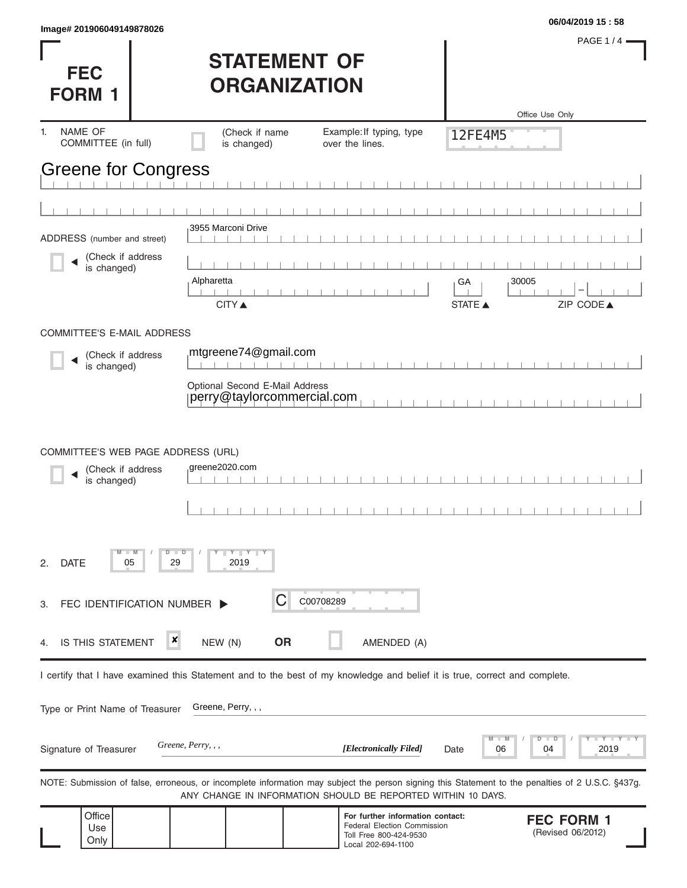| <b>FEC</b><br><b>FORM 1</b>                                            | <b>STATEMENT OF</b><br><b>ORGANIZATION</b>                                                                                 | PAGE 1/4 -<br>Office Use Only                                                                                                                     |
|------------------------------------------------------------------------|----------------------------------------------------------------------------------------------------------------------------|---------------------------------------------------------------------------------------------------------------------------------------------------|
| NAME OF<br>1.<br>COMMITTEE (in full)                                   | (Check if name<br>Example: If typing, type<br>is changed)<br>over the lines.                                               | <b>12FE4M5</b>                                                                                                                                    |
| <b>Greene for Congress</b>                                             |                                                                                                                            |                                                                                                                                                   |
|                                                                        |                                                                                                                            |                                                                                                                                                   |
| ADDRESS (number and street)                                            | 3955 Marconi Drive                                                                                                         |                                                                                                                                                   |
| (Check if address<br>is changed)                                       |                                                                                                                            |                                                                                                                                                   |
|                                                                        | Alpharetta                                                                                                                 | 30005<br>GA                                                                                                                                       |
|                                                                        | <b>CITY</b> ▲                                                                                                              | STATE A<br>ZIP CODE▲                                                                                                                              |
| COMMITTEE'S E-MAIL ADDRESS                                             |                                                                                                                            |                                                                                                                                                   |
| (Check if address<br>is changed)                                       | mtgreene74@gmail.com                                                                                                       |                                                                                                                                                   |
|                                                                        | Optional Second E-Mail Address<br>perry@taylorcommercial.com                                                               |                                                                                                                                                   |
| COMMITTEE'S WEB PAGE ADDRESS (URL)<br>(Check if address<br>is changed) | greene2020.com                                                                                                             |                                                                                                                                                   |
| D<br><b>DATE</b><br>05<br>2.                                           | $Y - Y - Y$<br>$\blacksquare$<br>29<br>2019                                                                                |                                                                                                                                                   |
| FEC IDENTIFICATION NUMBER<br>3.                                        | С<br>C00708289                                                                                                             |                                                                                                                                                   |
| ×<br><b>IS THIS STATEMENT</b><br>4.                                    | <b>OR</b><br>NEW (N)<br>AMENDED (A)                                                                                        |                                                                                                                                                   |
|                                                                        | I certify that I have examined this Statement and to the best of my knowledge and belief it is true, correct and complete. |                                                                                                                                                   |
| Type or Print Name of Treasurer                                        | Greene, Perry, , ,                                                                                                         |                                                                                                                                                   |
| Signature of Treasurer                                                 | Greene, Perry, , ,<br>[Electronically Filed]                                                                               | Y I Y<br>2019<br>06<br>04<br>Date                                                                                                                 |
|                                                                        | ANY CHANGE IN INFORMATION SHOULD BE REPORTED WITHIN 10 DAYS.                                                               | NOTE: Submission of false, erroneous, or incomplete information may subject the person signing this Statement to the penalties of 2 U.S.C. §437g. |
| Office<br>Use<br>Only                                                  | Toll Free 800-424-9530<br>Local 202-694-1100                                                                               | For further information contact:<br><b>FEC FORM 1</b><br>Federal Election Commission<br>(Revised 06/2012)                                         |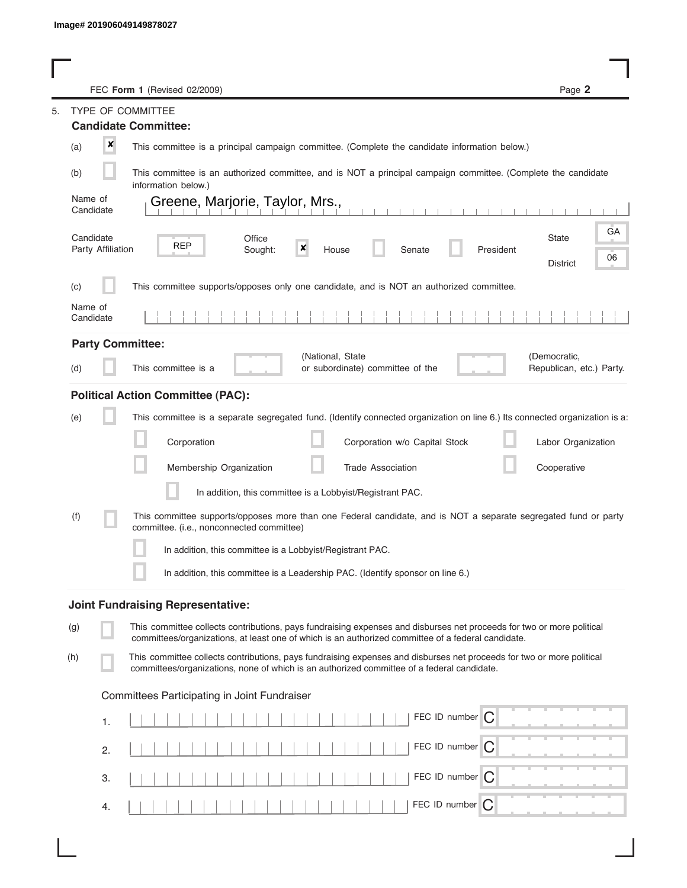|         |                                | FEC Form 1 (Revised 02/2009)                                                                                                                                                                                                | Page 2                                   |
|---------|--------------------------------|-----------------------------------------------------------------------------------------------------------------------------------------------------------------------------------------------------------------------------|------------------------------------------|
| 5.      |                                | TYPE OF COMMITTEE                                                                                                                                                                                                           |                                          |
|         |                                | <b>Candidate Committee:</b>                                                                                                                                                                                                 |                                          |
| (a)     | $\pmb{\times}$                 | This committee is a principal campaign committee. (Complete the candidate information below.)                                                                                                                               |                                          |
| (b)     |                                | This committee is an authorized committee, and is NOT a principal campaign committee. (Complete the candidate<br>information below.)                                                                                        |                                          |
| Name of | Candidate                      | Greene, Marjorie, Taylor, Mrs.,                                                                                                                                                                                             |                                          |
|         | Candidate<br>Party Affiliation | Office<br><b>REP</b><br>×<br>Sought:<br>President<br>House<br>Senate                                                                                                                                                        | GA<br>State<br>06<br><b>District</b>     |
| (c)     |                                | This committee supports/opposes only one candidate, and is NOT an authorized committee.                                                                                                                                     |                                          |
| Name of | Candidate                      |                                                                                                                                                                                                                             |                                          |
|         |                                | <b>Party Committee:</b>                                                                                                                                                                                                     |                                          |
| (d)     |                                | (National, State<br>This committee is a<br>or subordinate) committee of the                                                                                                                                                 | (Democratic,<br>Republican, etc.) Party. |
|         |                                | <b>Political Action Committee (PAC):</b>                                                                                                                                                                                    |                                          |
| (e)     |                                | This committee is a separate segregated fund. (Identify connected organization on line 6.) Its connected organization is a:                                                                                                 |                                          |
|         |                                | Corporation<br>Corporation w/o Capital Stock                                                                                                                                                                                | Labor Organization                       |
|         |                                | Membership Organization<br><b>Trade Association</b>                                                                                                                                                                         | Cooperative                              |
|         |                                | In addition, this committee is a Lobbyist/Registrant PAC.                                                                                                                                                                   |                                          |
| (f)     |                                | This committee supports/opposes more than one Federal candidate, and is NOT a separate segregated fund or party<br>committee. (i.e., nonconnected committee)                                                                |                                          |
|         |                                | In addition, this committee is a Lobbyist/Registrant PAC.                                                                                                                                                                   |                                          |
|         |                                | In addition, this committee is a Leadership PAC. (Identify sponsor on line 6.)                                                                                                                                              |                                          |
|         |                                | <b>Joint Fundraising Representative:</b>                                                                                                                                                                                    |                                          |
| (g)     |                                | This committee collects contributions, pays fundraising expenses and disburses net proceeds for two or more political<br>committees/organizations, at least one of which is an authorized committee of a federal candidate. |                                          |
| (h)     |                                | This committee collects contributions, pays fundraising expenses and disburses net proceeds for two or more political<br>committees/organizations, none of which is an authorized committee of a federal candidate.         |                                          |
|         |                                | Committees Participating in Joint Fundraiser                                                                                                                                                                                |                                          |
|         | 1.                             | FEC ID number<br>C                                                                                                                                                                                                          |                                          |
|         | 2.                             | FEC ID number $\bigcap$                                                                                                                                                                                                     |                                          |
|         | 3.                             | FEC ID number<br>C                                                                                                                                                                                                          |                                          |
|         | 4.                             | FEC ID number $\bigcap$                                                                                                                                                                                                     |                                          |

I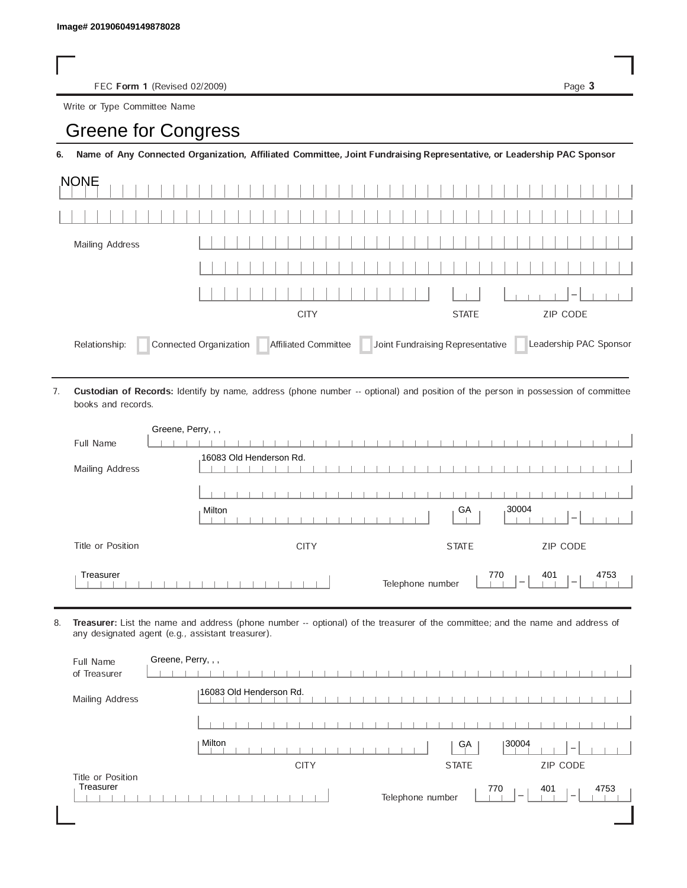FEC Form 1 (Revised 02/2009) Page 3

Write or Type Committee Name

## Image# 201906049149878028<br>
FEC Form 1 (Revised 02/2009)<br>
Write or Type Committee Name<br> **Greene for Congress**

6. Name of Any Connected Organization, Affiliated Committee, Joint Fundraising Representative, or Leadership PAC Sponsor

| <b>NONE</b>                                                                                                                |             |              |          |  |
|----------------------------------------------------------------------------------------------------------------------------|-------------|--------------|----------|--|
|                                                                                                                            |             |              |          |  |
| Mailing Address                                                                                                            |             |              |          |  |
|                                                                                                                            |             |              |          |  |
|                                                                                                                            |             |              | $1 - 1$  |  |
|                                                                                                                            | <b>CITY</b> | <b>STATE</b> | ZIP CODE |  |
| Affiliated Committee Joint Fundraising Representative<br>Connected Organization<br>Leadership PAC Sponsor<br>Relationship: |             |              |          |  |

Custodian of Records: Identify by name, address (phone number -- optional) and position of the person in possession of committee books and records. 7.

| Greene, Perry, , , |                                                                                                |
|--------------------|------------------------------------------------------------------------------------------------|
| Full Name          |                                                                                                |
| Mailing Address    | 16083 Old Henderson Rd.                                                                        |
|                    |                                                                                                |
|                    | 30004<br>GA<br>Milton<br>$\overline{\phantom{a}}$                                              |
| Title or Position  | <b>CITY</b><br><b>STATE</b><br>ZIP CODE                                                        |
| Treasurer          | 770<br>401<br>4753<br>Telephone number<br>$\overline{\phantom{a}}$<br>$\overline{\phantom{a}}$ |

8. Treasurer: List the name and address (phone number -- optional) of the treasurer of the committee; and the name and address of any designated agent (e.g., assistant treasurer).

| Full Name<br>of Treasurer      | Greene, Perry, , ,                                                                             |
|--------------------------------|------------------------------------------------------------------------------------------------|
| Mailing Address                | 16083 Old Henderson Rd.                                                                        |
|                                |                                                                                                |
|                                | <b>Milton</b><br> 30004<br>GA<br>$\overline{\phantom{a}}$                                      |
|                                | ZIP CODE<br><b>CITY</b><br><b>STATE</b>                                                        |
| Title or Position<br>Treasurer | 770<br>401<br>4753<br>Telephone number<br>$\overline{\phantom{a}}$<br>$\overline{\phantom{a}}$ |